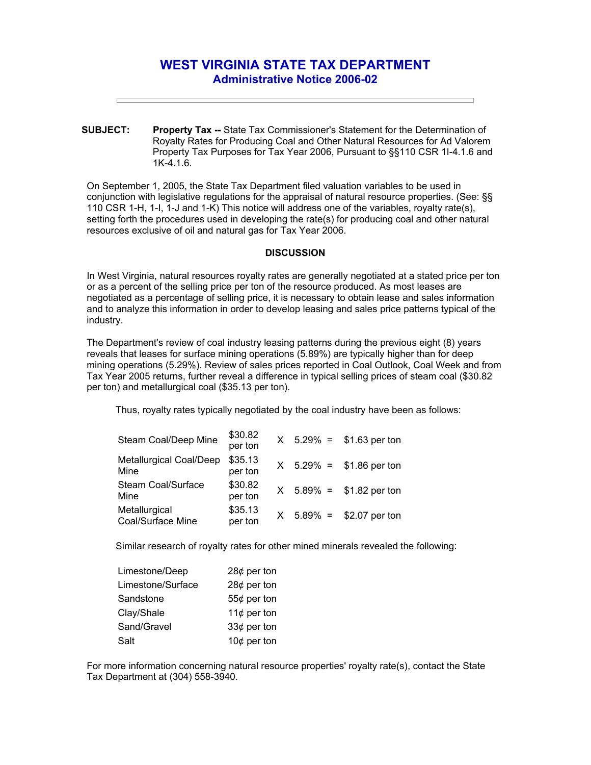## **WEST VIRGINIA STATE TAX DEPARTMENT Administrative Notice 2006-02**

**SUBJECT: Property Tax --** State Tax Commissioner's Statement for the Determination of Royalty Rates for Producing Coal and Other Natural Resources for Ad Valorem Property Tax Purposes for Tax Year 2006, Pursuant to §§110 CSR 1I-4.1.6 and 1K-4.1.6.

On September 1, 2005, the State Tax Department filed valuation variables to be used in conjunction with legislative regulations for the appraisal of natural resource properties. (See: §§ 110 CSR 1-H, 1-I, 1-J and 1-K) This notice will address one of the variables, royalty rate(s), setting forth the procedures used in developing the rate(s) for producing coal and other natural resources exclusive of oil and natural gas for Tax Year 2006.

## **DISCUSSION**

In West Virginia, natural resources royalty rates are generally negotiated at a stated price per ton or as a percent of the selling price per ton of the resource produced. As most leases are negotiated as a percentage of selling price, it is necessary to obtain lease and sales information and to analyze this information in order to develop leasing and sales price patterns typical of the industry.

The Department's review of coal industry leasing patterns during the previous eight (8) years reveals that leases for surface mining operations (5.89%) are typically higher than for deep mining operations (5.29%). Review of sales prices reported in Coal Outlook, Coal Week and from Tax Year 2005 returns, further reveal a difference in typical selling prices of steam coal (\$30.82 per ton) and metallurgical coal (\$35.13 per ton).

Thus, royalty rates typically negotiated by the coal industry have been as follows:

| Steam Coal/Deep Mine               | \$30.82<br>per ton |  | $X$ 5.29% = \$1.63 per ton |
|------------------------------------|--------------------|--|----------------------------|
| Metallurgical Coal/Deep<br>Mine    | \$35.13<br>per ton |  | $X$ 5.29% = \$1.86 per ton |
| Steam Coal/Surface<br>Mine         | \$30.82<br>per ton |  | $X$ 5.89% = \$1.82 per ton |
| Metallurgical<br>Coal/Surface Mine | \$35.13<br>per ton |  | $X$ 5.89% = \$2.07 per ton |

Similar research of royalty rates for other mined minerals revealed the following:

| Limestone/Deep    | 28 $¢$ per ton |  |  |
|-------------------|----------------|--|--|
| Limestone/Surface | 28 $¢$ per ton |  |  |
| Sandstone         | 55 $¢$ per ton |  |  |
| Clay/Shale        | 11 $¢$ per ton |  |  |
| Sand/Gravel       | 33¢ per ton    |  |  |
| Salt              | 10 $¢$ per ton |  |  |

For more information concerning natural resource properties' royalty rate(s), contact the State Tax Department at (304) 558-3940.